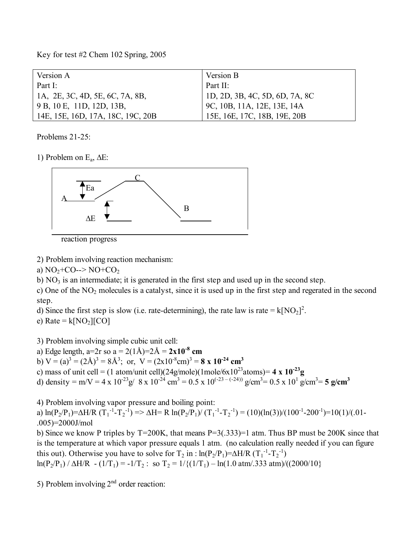Key for test #2 Chem 102 Spring, 2005

| Version A                         | Version B                          |
|-----------------------------------|------------------------------------|
| Part I:                           | Part II:                           |
| 1A, 2E, 3C, 4D, 5E, 6C, 7A, 8B,   | $ $ 1D, 2D, 3B, 4C, 5D, 6D, 7A, 8C |
| 9 B, 10 E, 11D, 12D, 13B,         | 9C, 10B, 11A, 12E, 13E, 14A        |
| 14E, 15E, 16D, 17A, 18C, 19C, 20B | 15E, 16E, 17C, 18B, 19E, 20B       |

Problems 21-25:

1) Problem on Ea, ∆E:



reaction progress

2) Problem involving reaction mechanism:

a)  $NO<sub>2</sub>+CO--> NO+CO<sub>2</sub>$ 

b)  $NO<sub>3</sub>$  is an intermediate; it is generated in the first step and used up in the second step.

c) One of the  $NO<sub>2</sub>$  molecules is a catalyst, since it is used up in the first step and regerated in the second step.

d) Since the first step is slow (i.e. rate-determining), the rate law is rate =  $k[NO_2]^2$ .

e) Rate =  $k[NO<sub>2</sub>][CO]$ 

3) Problem involving simple cubic unit cell:

a) Edge length, a=2r so a = 2(1Å)=2Å = **2x10-8 cm**

b)  $V = (a)^3 = (2A)^3 = 8A^3$ ; or,  $V = (2x10^{-8} \text{cm})^3 = 8 \text{ x } 10^{-24} \text{ cm}^3$ 

c) mass of unit cell =  $(1 \text{ atom/unit cell})(24 \text{g/mole})(1 \text{ mole/6} \times 10^{23} \text{atoms}) = 4 \times 10^{-23} \text{g}$ 

d) density = m/V = 4 x 10<sup>-23</sup> g/ 8 x 10<sup>-24</sup> cm<sup>3</sup> = 0.5 x 10<sup>(-23-(-24))</sup> g/cm<sup>3</sup> = 0.5 x 10<sup>1</sup> g/cm<sup>3</sup> = 5 g/cm<sup>3</sup>

4) Problem involving vapor pressure and boiling point:

a)  $\ln(P_2/P_1) = \Delta H/R (T_1^{-1} - T_2^{-1}) \implies \Delta H = R \ln(P_2/P_1)/(T_1^{-1} - T_2^{-1}) = (10)(\ln(3))/(100^{-1} - 200^{-1}) = 10(1)/(0.01 - 1)$ .005)=2000J/mol

b) Since we know P triples by T=200K, that means P=3(.333)=1 atm. Thus BP must be 200K since that is the temperature at which vapor pressure equals 1 atm. (no calculation really needed if you can figure this out). Otherwise you have to solve for  $T_2$  in : ln(P<sub>2</sub>/P<sub>1</sub>)=∆H/R (T<sub>1</sub><sup>-1</sup>-T<sub>2</sub><sup>-1</sup>) ln(P<sub>2</sub>/P<sub>1</sub>) /  $\triangle H/R$  - (1/T<sub>1</sub>) = -1/T<sub>2</sub> : so T<sub>2</sub> = 1/{(1/T<sub>1</sub>) – ln(1.0 atm/.333 atm)/((2000/10}

5) Problem involving  $2<sup>nd</sup>$  order reaction: